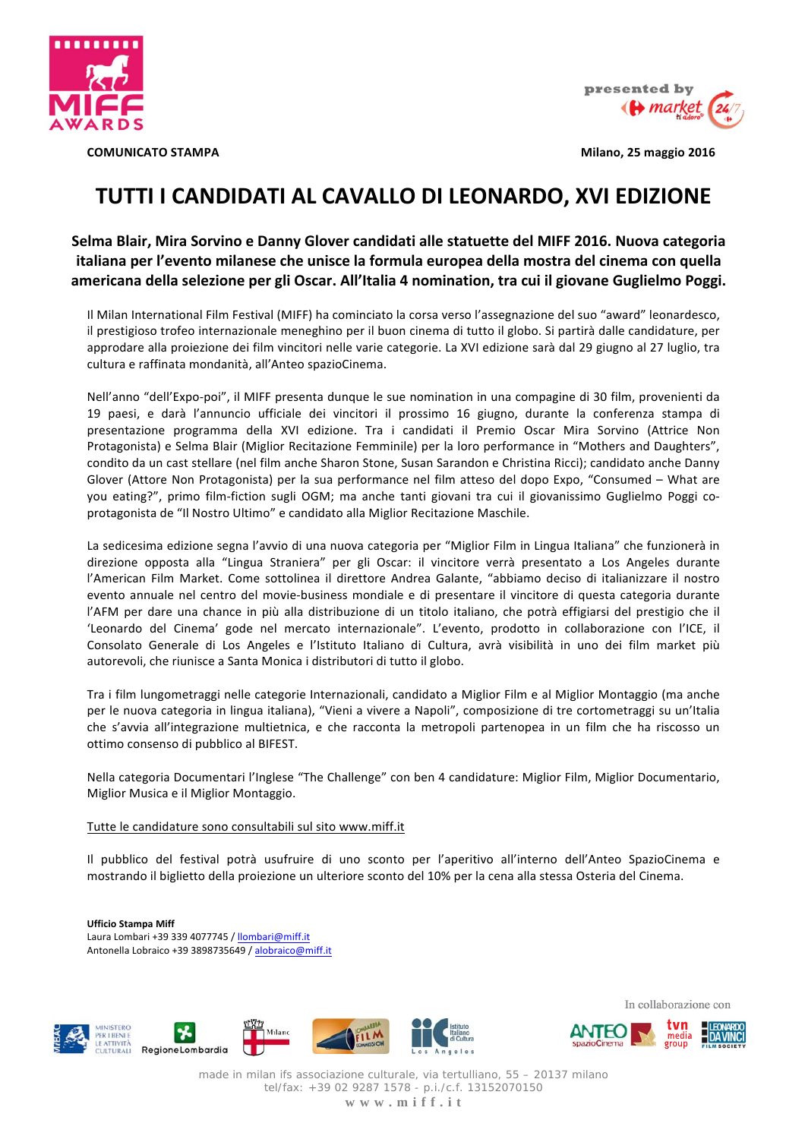

presented by **«A** market

**COMUNICATO STAMPA** 

Milano, 25 maggio 2016

# TUTTI I CANDIDATI AL CAVALLO DI LEONARDO, XVI EDIZIONE

Selma Blair, Mira Sorvino e Danny Glover candidati alle statuette del MIFF 2016. Nuova categoria italiana per l'evento milanese che unisce la formula europea della mostra del cinema con quella americana della selezione per gli Oscar. All'Italia 4 nomination, tra cui il giovane Guglielmo Poggi.

Il Milan International Film Festival (MIFF) ha cominciato la corsa verso l'assegnazione del suo "award" leonardesco, il prestigioso trofeo internazionale meneghino per il buon cinema di tutto il globo. Si partirà dalle candidature, per approdare alla proiezione dei film vincitori nelle varie categorie. La XVI edizione sarà dal 29 giugno al 27 luglio, tra cultura e raffinata mondanità, all'Anteo spazioCinema.

Nell'anno "dell'Expo-poi", il MIFF presenta dunque le sue nomination in una compagine di 30 film, provenienti da 19 paesi, e darà l'annuncio ufficiale dei vincitori il prossimo 16 giugno, durante la conferenza stampa di presentazione programma della XVI edizione. Tra i candidati il Premio Oscar Mira Sorvino (Attrice Non Protagonista) e Selma Blair (Miglior Recitazione Femminile) per la loro performance in "Mothers and Daughters", condito da un cast stellare (nel film anche Sharon Stone, Susan Sarandon e Christina Ricci); candidato anche Danny Glover (Attore Non Protagonista) per la sua performance nel film atteso del dopo Expo, "Consumed - What are you eating?", primo film-fiction sugli OGM; ma anche tanti giovani tra cui il giovanissimo Guglielmo Poggi coprotagonista de "Il Nostro Ultimo" e candidato alla Miglior Recitazione Maschile.

La sedicesima edizione segna l'avvio di una nuova categoria per "Miglior Film in Lingua Italiana" che funzionerà in direzione opposta alla "Lingua Straniera" per gli Oscar: il vincitore verrà presentato a Los Angeles durante l'American Film Market. Come sottolinea il direttore Andrea Galante, "abbiamo deciso di italianizzare il nostro evento annuale nel centro del movie-business mondiale e di presentare il vincitore di questa categoria durante l'AFM per dare una chance in più alla distribuzione di un titolo italiano, che potrà effigiarsi del prestigio che il 'Leonardo del Cinema' gode nel mercato internazionale". L'evento, prodotto in collaborazione con l'ICE, il Consolato Generale di Los Angeles e l'Istituto Italiano di Cultura, avrà visibilità in uno dei film market più autorevoli, che riunisce a Santa Monica i distributori di tutto il globo.

Tra i film lungometraggi nelle categorie Internazionali, candidato a Miglior Film e al Miglior Montaggio (ma anche per le nuova categoria in lingua italiana), "Vieni a vivere a Napoli", composizione di tre cortometraggi su un'Italia che s'avvia all'integrazione multietnica, e che racconta la metropoli partenopea in un film che ha riscosso un ottimo consenso di pubblico al BIFEST.

Nella categoria Documentari l'Inglese "The Challenge" con ben 4 candidature: Miglior Film, Miglior Documentario, Miglior Musica e il Miglior Montaggio.

## Tutte le candidature sono consultabili sul sito www.miff.it

Il pubblico del festival potrà usufruire di uno sconto per l'aperitivo all'interno dell'Anteo SpazioCinema e mostrando il biglietto della proiezione un ulteriore sconto del 10% per la cena alla stessa Osteria del Cinema.

**Ufficio Stampa Miff** Laura Lombari +39 339 4077745 / Ilombari@miff.it Antonella Lobraico +39 3898735649 / alobraico@miff.it



In collaborazione con



made in milan ifs associazione culturale, via tertulliano, 55 - 20137 milano tel/fax: +39 02 9287 1578 - p.i./c.f. 13152070150 www.miff.it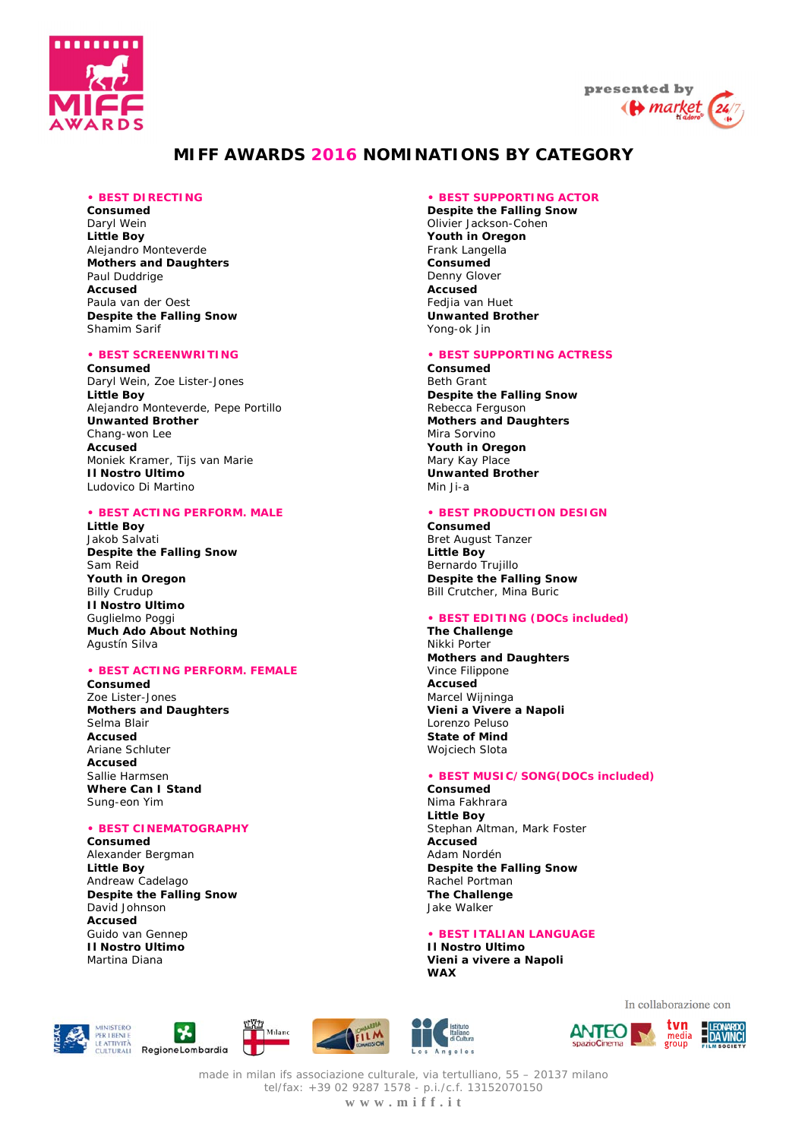



## **MIFF AWARDS 2016 NOMINATIONS BY CATEGORY**

## **• BEST DIRECTING**

**Consumed**  Daryl Wein **Little Boy**  Alejandro Monteverde **Mothers and Daughters**  Paul Duddrige **Accused**  Paula van der Oest **Despite the Falling Snow**  Shamim Sarif

#### **• BEST SCREENWRITING**

**Consumed**  Daryl Wein, Zoe Lister-Jones **Little Boy**  Alejandro Monteverde, Pepe Portillo **Unwanted Brother**  Chang-won Lee **Accused**  Moniek Kramer, Tijs van Marie **Il Nostro Ultimo**  Ludovico Di Martino

## **• BEST ACTING PERFORM. MALE**

**Little Boy**  Jakob Salvati **Despite the Falling Snow**  Sam Reid **Youth in Oregon**  Billy Crudup **Il Nostro Ultimo**  Guglielmo Poggi **Much Ado About Nothing**  Agustín Silva

#### **• BEST ACTING PERFORM. FEMALE**

**Consumed**  Zoe Lister-Jones **Mothers and Daughters**  Selma Blair **Accused**  Ariane Schluter **Accused**  Sallie Harmsen **Where Can I Stand**  Sung-eon Yim

#### **• BEST CINEMATOGRAPHY**

**Consumed** 

Alexander Bergman **Little Boy**  Andreaw Cadelago **Despite the Falling Snow**  David Johnson **Accused**  Guido van Gennep **Il Nostro Ultimo** Martina Diana

#### **• BEST SUPPORTING ACTOR**

**Despite the Falling Snow**  Olivier Jackson-Cohen **Youth in Oregon**  Frank Langella **Consumed**  Denny Glover **Accused**  Fedjia van Huet **Unwanted Brother**  Yong-ok Jin

#### **• BEST SUPPORTING ACTRESS**

**Consumed**  Beth Grant **Despite the Falling Snow**  Rebecca Ferguson **Mothers and Daughters**  Mira Sorvino **Youth in Oregon**  Mary Kay Place **Unwanted Brother**  Min Ii-a

## **• BEST PRODUCTION DESIGN**

**Consumed**  Bret August Tanzer **Little Boy**  Bernardo Trujillo **Despite the Falling Snow**  Bill Crutcher, Mina Buric

#### **• BEST EDITING (DOCs included)**

**The Challenge** Nikki Porter **Mothers and Daughters**  Vince Filippone **Accused**  Marcel Wijninga **Vieni a Vivere a Napoli**  Lorenzo Peluso **State of Mind**  Wojciech Slota

## **• BEST MUSIC/SONG(DOCs included)**

**Consumed**  Nima Fakhrara **Little Boy**  Stephan Altman, Mark Foster **Accused**  Adam Nordén **Despite the Falling Snow** Rachel Portman **The Challenge**  Jake Walker

#### **• BEST ITALIAN LANGUAGE**

**Il Nostro Ultimo Vieni a vivere a Napoli WAX**











In collaborazione con



made in milan ifs associazione culturale, via tertulliano, 55 – 20137 milano tel/fax: +39 02 9287 1578 - p.i./c.f. 13152070150 **w w w . m i f f . i t**